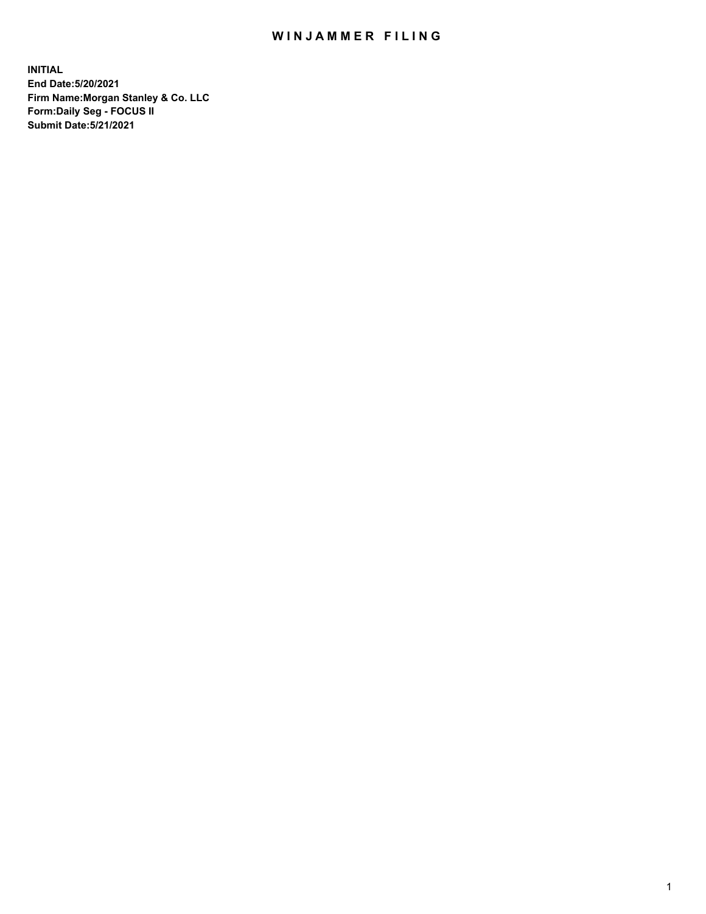# WIN JAMMER FILING

**INITIAL End Date:5/20/2021 Firm Name:Morgan Stanley & Co. LLC Form:Daily Seg - FOCUS II Submit Date:5/21/2021**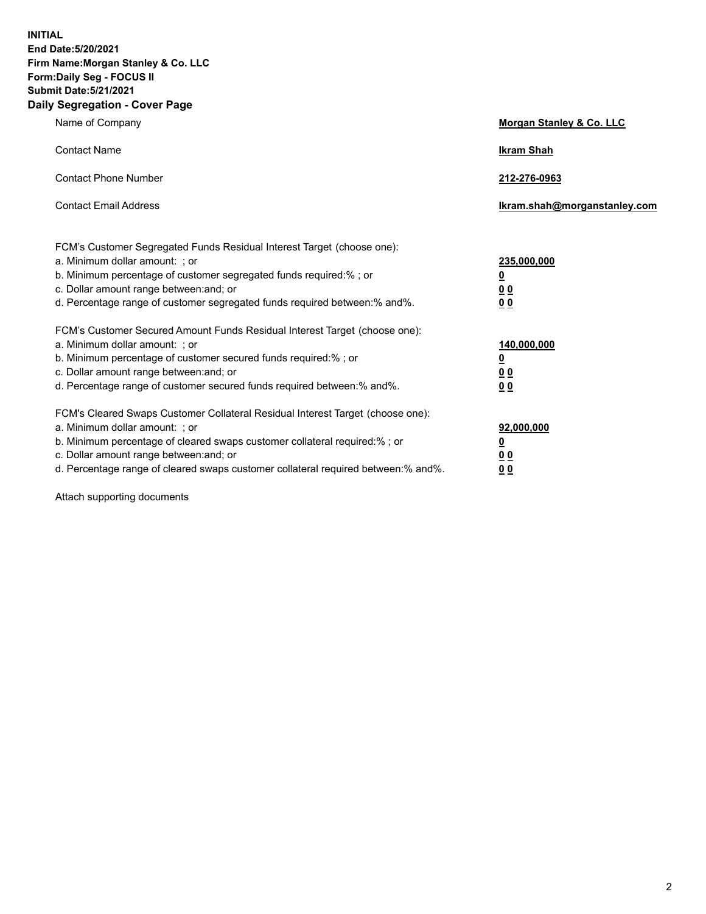**INITIAL End Date:5/20/2021 Firm Name:Morgan Stanley & Co. LLC Form:Daily Seg - FOCUS II Submit Date:5/21/2021 Daily Segregation - Cover Page**

| Name of Company                                                                                                                                                                                                                                                                                                                | <b>Morgan Stanley &amp; Co. LLC</b>                         |
|--------------------------------------------------------------------------------------------------------------------------------------------------------------------------------------------------------------------------------------------------------------------------------------------------------------------------------|-------------------------------------------------------------|
| <b>Contact Name</b>                                                                                                                                                                                                                                                                                                            | <b>Ikram Shah</b>                                           |
| <b>Contact Phone Number</b>                                                                                                                                                                                                                                                                                                    | 212-276-0963                                                |
| <b>Contact Email Address</b>                                                                                                                                                                                                                                                                                                   | Ikram.shah@morganstanley.com                                |
| FCM's Customer Segregated Funds Residual Interest Target (choose one):<br>a. Minimum dollar amount: ; or<br>b. Minimum percentage of customer segregated funds required:%; or<br>c. Dollar amount range between: and; or<br>d. Percentage range of customer segregated funds required between:% and%.                          | 235,000,000<br><u>0</u><br>0 <sub>0</sub><br>0 <sub>0</sub> |
| FCM's Customer Secured Amount Funds Residual Interest Target (choose one):<br>a. Minimum dollar amount: ; or<br>b. Minimum percentage of customer secured funds required:%; or<br>c. Dollar amount range between: and; or<br>d. Percentage range of customer secured funds required between:% and%.                            | 140,000,000<br><u>0</u><br>0 <sub>0</sub><br>0 <sub>0</sub> |
| FCM's Cleared Swaps Customer Collateral Residual Interest Target (choose one):<br>a. Minimum dollar amount: ; or<br>b. Minimum percentage of cleared swaps customer collateral required:% ; or<br>c. Dollar amount range between: and; or<br>d. Percentage range of cleared swaps customer collateral required between:% and%. | 92,000,000<br><u>0</u><br><u>00</u><br>00                   |

Attach supporting documents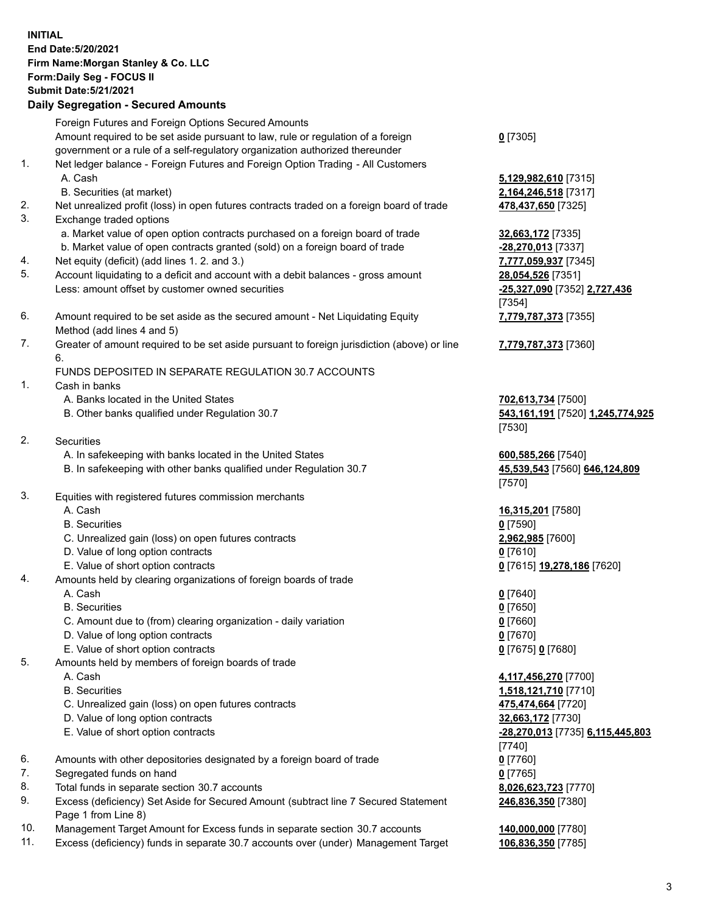# **INITIAL End Date:5/20/2021 Firm Name:Morgan Stanley & Co. LLC Form:Daily Seg - FOCUS II Submit Date:5/21/2021**

### **Daily Segregation - Secured Amounts**

Foreign Futures and Foreign Options Secured Amounts Amount required to be set aside pursuant to law, rule or regulation of a foreign government or a rule of a self-regulatory organization authorized thereunder 1. Net ledger balance - Foreign Futures and Foreign Option Trading - All Customers

- 
- B. Securities (at market) **2,164,246,518** [7317]
- 2. Net unrealized profit (loss) in open futures contracts traded on a foreign board of trade **478,437,650** [7325]
- 3. Exchange traded options
	- a. Market value of open option contracts purchased on a foreign board of trade **32,663,172** [7335]
	- b. Market value of open contracts granted (sold) on a foreign board of trade **-28,270,013** [7337]
- 4. Net equity (deficit) (add lines 1. 2. and 3.) **7,777,059,937** [7345]
- 5. Account liquidating to a deficit and account with a debit balances gross amount **28,054,526** [7351] Less: amount offset by customer owned securities **-25,327,090** [7352] **2,727,436**
- 6. Amount required to be set aside as the secured amount Net Liquidating Equity Method (add lines 4 and 5)
- 7. Greater of amount required to be set aside pursuant to foreign jurisdiction (above) or line 6.

### FUNDS DEPOSITED IN SEPARATE REGULATION 30.7 ACCOUNTS

- 1. Cash in banks
	- A. Banks located in the United States **702,613,734** [7500]
	- B. Other banks qualified under Regulation 30.7 **543,161,191** [7520] **1,245,774,925**
- 2. Securities
	- A. In safekeeping with banks located in the United States **600,585,266** [7540]
	- B. In safekeeping with other banks qualified under Regulation 30.7 **45,539,543** [7560] **646,124,809**
- 3. Equities with registered futures commission merchants
	-
	- B. Securities **0** [7590]
	- C. Unrealized gain (loss) on open futures contracts **2,962,985** [7600]
	- D. Value of long option contracts **0** [7610]
	- E. Value of short option contracts **0** [7615] **19,278,186** [7620]
- 4. Amounts held by clearing organizations of foreign boards of trade
	- A. Cash **0** [7640]
	- B. Securities **0** [7650]
	- C. Amount due to (from) clearing organization daily variation **0** [7660]
	- D. Value of long option contracts **0** [7670]
	- E. Value of short option contracts **0** [7675] **0** [7680]
- 5. Amounts held by members of foreign boards of trade
	-
	-
	- C. Unrealized gain (loss) on open futures contracts **475,474,664** [7720]
	- D. Value of long option contracts **32,663,172** [7730]
	- E. Value of short option contracts **-28,270,013** [7735] **6,115,445,803**
- 6. Amounts with other depositories designated by a foreign board of trade **0** [7760]
- 7. Segregated funds on hand **0** [7765]
- 8. Total funds in separate section 30.7 accounts **8,026,623,723** [7770]
- 9. Excess (deficiency) Set Aside for Secured Amount (subtract line 7 Secured Statement Page 1 from Line 8)
- 10. Management Target Amount for Excess funds in separate section 30.7 accounts **140,000,000** [7780]
- 11. Excess (deficiency) funds in separate 30.7 accounts over (under) Management Target **106,836,350** [7785]

### **0** [7305]

A. Cash **5,129,982,610** [7315]

[7354] **7,779,787,373** [7355]

**7,779,787,373** [7360]

[7530]

[7570]

A. Cash **16,315,201** [7580]

 A. Cash **4,117,456,270** [7700] B. Securities **1,518,121,710** [7710] [7740] **246,836,350** [7380]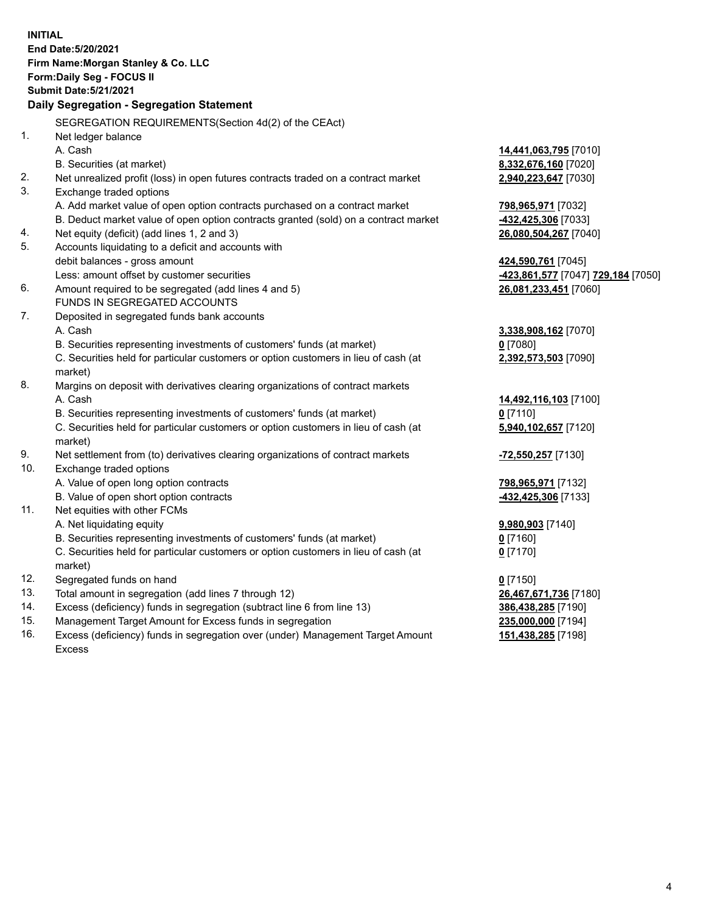**INITIAL End Date:5/20/2021 Firm Name:Morgan Stanley & Co. LLC Form:Daily Seg - FOCUS II Submit Date:5/21/2021 Daily Segregation - Segregation Statement** SEGREGATION REQUIREMENTS(Section 4d(2) of the CEAct) 1. Net ledger balance A. Cash **14,441,063,795** [7010] B. Securities (at market) **8,332,676,160** [7020] 2. Net unrealized profit (loss) in open futures contracts traded on a contract market **2,940,223,647** [7030] 3. Exchange traded options A. Add market value of open option contracts purchased on a contract market **798,965,971** [7032] B. Deduct market value of open option contracts granted (sold) on a contract market **-432,425,306** [7033] 4. Net equity (deficit) (add lines 1, 2 and 3) **26,080,504,267** [7040] 5. Accounts liquidating to a deficit and accounts with debit balances - gross amount **424,590,761** [7045] Less: amount offset by customer securities **-423,861,577** [7047] **729,184** [7050] 6. Amount required to be segregated (add lines 4 and 5) **26,081,233,451** [7060] FUNDS IN SEGREGATED ACCOUNTS 7. Deposited in segregated funds bank accounts A. Cash **3,338,908,162** [7070] B. Securities representing investments of customers' funds (at market) **0** [7080] C. Securities held for particular customers or option customers in lieu of cash (at market) **2,392,573,503** [7090] 8. Margins on deposit with derivatives clearing organizations of contract markets A. Cash **14,492,116,103** [7100] B. Securities representing investments of customers' funds (at market) **0** [7110] C. Securities held for particular customers or option customers in lieu of cash (at market) **5,940,102,657** [7120] 9. Net settlement from (to) derivatives clearing organizations of contract markets **-72,550,257** [7130] 10. Exchange traded options A. Value of open long option contracts **798,965,971** [7132] B. Value of open short option contracts **-432,425,306** [7133] 11. Net equities with other FCMs A. Net liquidating equity **9,980,903** [7140] B. Securities representing investments of customers' funds (at market) **0** [7160] C. Securities held for particular customers or option customers in lieu of cash (at market) **0** [7170] 12. Segregated funds on hand **0** [7150] 13. Total amount in segregation (add lines 7 through 12) **26,467,671,736** [7180] 14. Excess (deficiency) funds in segregation (subtract line 6 from line 13) **386,438,285** [7190] 15. Management Target Amount for Excess funds in segregation **235,000,000** [7194] **151,438,285** [7198]

16. Excess (deficiency) funds in segregation over (under) Management Target Amount Excess